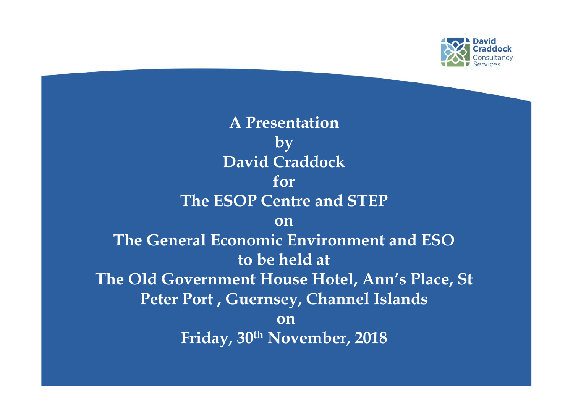

**A Presentation by David Craddock for The ESOP Centre and STEP on The General Economic Environment and ESO to be held at The Old Government House Hotel, Ann's Place, St Peter Port , Guernsey, Channel Islands on Friday, 30th November, 2018**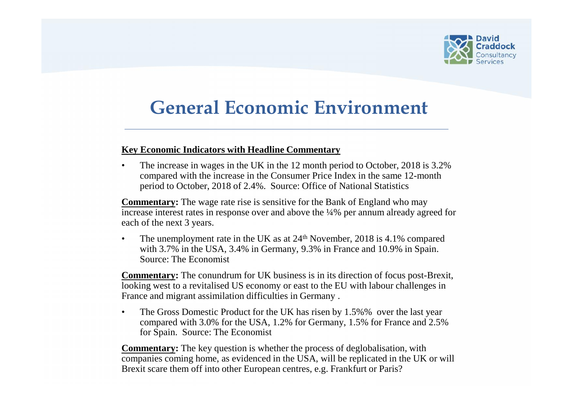

### **General Economic Environment**

#### **Key Economic Indicators with Headline Commentary**

• The increase in wages in the UK in the 12 month period to October, 2018 is 3.2% compared with the increase in the Consumer Price Index in the same 12-month period to October, 2018 of 2.4%. Source: Office of National Statistics

**Commentary:** The wage rate rise is sensitive for the Bank of England who may increase interest rates in response over and above the ¼% per annum already agreed for each of the next 3 years.

The unemployment rate in the UK as at  $24<sup>th</sup>$  November, 2018 is 4.1% compared with 3.7% in the USA, 3.4% in Germany, 9.3% in France and 10.9% in Spain. Source: The Economist

**Commentary:** The conundrum for UK business is in its direction of focus post-Brexit, looking west to a revitalised US economy or east to the EU with labour challenges in France and migrant assimilation difficulties in Germany .

The Gross Domestic Product for the UK has risen by 1.5%% over the last year compared with 3.0% for the USA, 1.2% for Germany, 1.5% for France and 2.5% for Spain. Source: The Economist

**Commentary:** The key question is whether the process of deglobalisation, with companies coming home, as evidenced in the USA, will be replicated in the UK or will Brexit scare them off into other European centres, e.g. Frankfurt or Paris?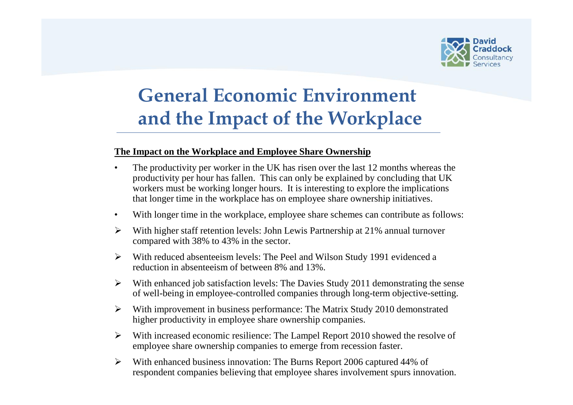

# **General Economic Environment and the Impact of the Workplace**

### **The Impact on the Workplace and Employee Share Ownership**

- The productivity per worker in the UK has risen over the last 12 months whereas the productivity per hour has fallen. This can only be explained by concluding that UK workers must be working longer hours. It is interesting to explore the implications that longer time in the workplace has on employee share ownership initiatives.
- With longer time in the workplace, employee share schemes can contribute as follows:
- $\triangleright$  With higher staff retention levels: John Lewis Partnership at 21% annual turnover compared with 38% to 43% in the sector.
- $\triangleright$  With reduced absenteeism levels: The Peel and Wilson Study 1991 evidenced a reduction in absenteeism of between 8% and 13%.
- $\triangleright$  With enhanced job satisfaction levels: The Davies Study 2011 demonstrating the sense of well-being in employee-controlled companies through long-term objective-setting.
- $\triangleright$  With improvement in business performance: The Matrix Study 2010 demonstrated higher productivity in employee share ownership companies.
- $\triangleright$  With increased economic resilience: The Lampel Report 2010 showed the resolve of employee share ownership companies to emerge from recession faster.
- $\triangleright$  With enhanced business innovation: The Burns Report 2006 captured 44% of respondent companies believing that employee shares involvement spurs innovation.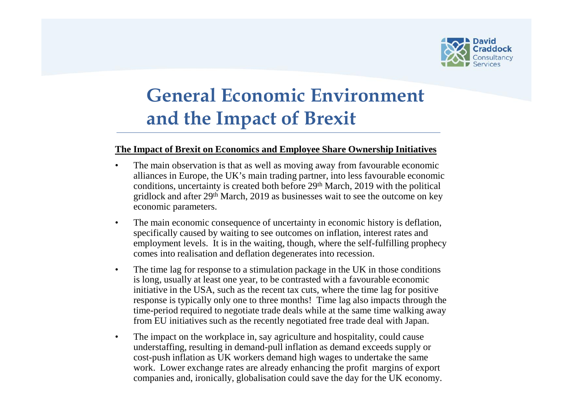

# **General Economic Environment and the Impact of Brexit**

#### **The Impact of Brexit on Economics and Employee Share Ownership Initiatives**

- The main observation is that as well as moving away from favourable economic alliances in Europe, the UK's main trading partner, into less favourable economic conditions, uncertainty is created both before 29<sup>th</sup> March, 2019 with the political gridlock and after 29th March, 2019 as businesses wait to see the outcome on key economic parameters.
- The main economic consequence of uncertainty in economic history is deflation, specifically caused by waiting to see outcomes on inflation, interest rates and employment levels. It is in the waiting, though, where the self-fulfilling prophecy comes into realisation and deflation degenerates into recession.
- The time lag for response to a stimulation package in the UK in those conditions is long, usually at least one year, to be contrasted with a favourable economic initiative in the USA, such as the recent tax cuts, where the time lag for positive response is typically only one to three months! Time lag also impacts through the time-period required to negotiate trade deals while at the same time walking away from EU initiatives such as the recently negotiated free trade deal with Japan.
- The impact on the workplace in, say agriculture and hospitality, could cause understaffing, resulting in demand-pull inflation as demand exceeds supply or cost-push inflation as UK workers demand high wages to undertake the same work. Lower exchange rates are already enhancing the profit margins of export companies and, ironically, globalisation could save the day for the UK economy.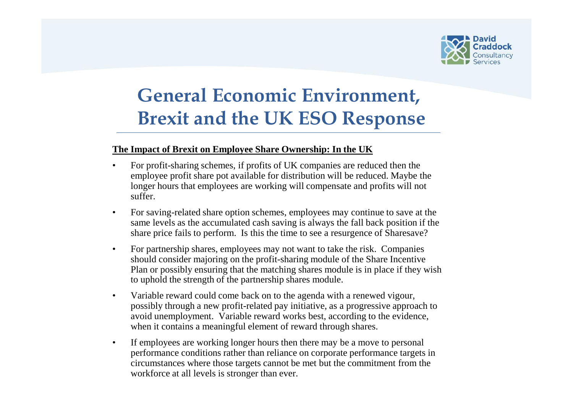

# **General Economic Environment, Brexit and the UK ESO Response**

### **The Impact of Brexit on Employee Share Ownership: In the UK**

- For profit-sharing schemes, if profits of UK companies are reduced then the employee profit share pot available for distribution will be reduced. Maybe the longer hours that employees are working will compensate and profits will not suffer.
- For saving-related share option schemes, employees may continue to save at the same levels as the accumulated cash saving is always the fall back position if the share price fails to perform. Is this the time to see a resurgence of Sharesave?
- For partnership shares, employees may not want to take the risk. Companies should consider majoring on the profit-sharing module of the Share Incentive Plan or possibly ensuring that the matching shares module is in place if they wish to uphold the strength of the partnership shares module.
- Variable reward could come back on to the agenda with a renewed vigour, possibly through a new profit-related pay initiative, as a progressive approach to avoid unemployment. Variable reward works best, according to the evidence, when it contains a meaningful element of reward through shares.
- If employees are working longer hours then there may be a move to personal performance conditions rather than reliance on corporate performance targets in circumstances where those targets cannot be met but the commitment from the workforce at all levels is stronger than ever.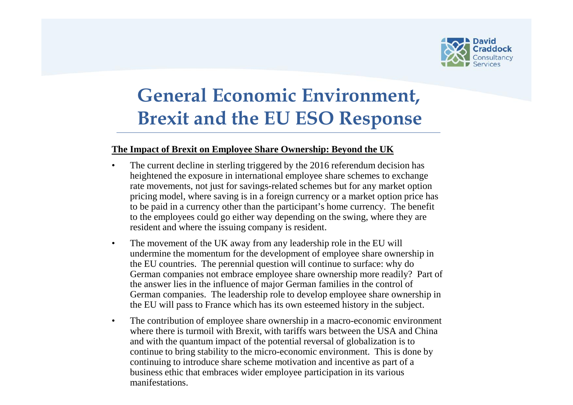

# **General Economic Environment, Brexit and the EU ESO Response**

### **The Impact of Brexit on Employee Share Ownership: Beyond the UK**

- The current decline in sterling triggered by the 2016 referendum decision has heightened the exposure in international employee share schemes to exchange rate movements, not just for savings-related schemes but for any market option pricing model, where saving is in a foreign currency or a market option price has to be paid in a currency other than the participant's home currency. The benefit to the employees could go either way depending on the swing, where they are resident and where the issuing company is resident.
- The movement of the UK away from any leadership role in the EU will undermine the momentum for the development of employee share ownership in the EU countries. The perennial question will continue to surface: why do German companies not embrace employee share ownership more readily? Part of the answer lies in the influence of major German families in the control of German companies. The leadership role to develop employee share ownership in the EU will pass to France which has its own esteemed history in the subject.
- The contribution of employee share ownership in a macro-economic environment where there is turmoil with Brexit, with tariffs wars between the USA and China and with the quantum impact of the potential reversal of globalization is to continue to bring stability to the micro-economic environment. This is done by continuing to introduce share scheme motivation and incentive as part of a business ethic that embraces wider employee participation in its various manifestations.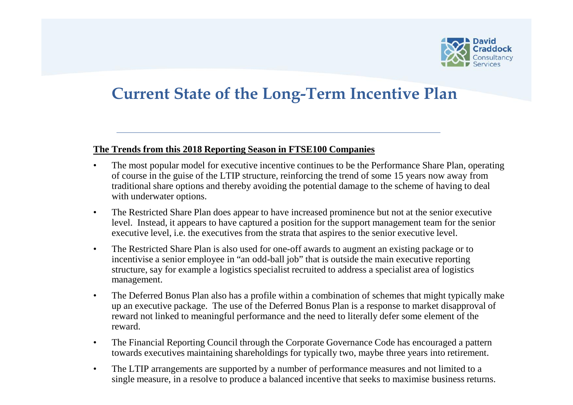

### **Current State of the Long-Term Incentive Plan**

### **The Trends from this 2018 Reporting Season in FTSE100 Companies**

- The most popular model for executive incentive continues to be the Performance Share Plan, operating of course in the guise of the LTIP structure, reinforcing the trend of some 15 years now away from traditional share options and thereby avoiding the potential damage to the scheme of having to deal with underwater options.
- The Restricted Share Plan does appear to have increased prominence but not at the senior executive level. Instead, it appears to have captured a position for the support management team for the senior executive level, i.e. the executives from the strata that aspires to the senior executive level.
- The Restricted Share Plan is also used for one-off awards to augment an existing package or to incentivise a senior employee in "an odd-ball job" that is outside the main executive reporting structure, say for example a logistics specialist recruited to address a specialist area of logistics management.
- The Deferred Bonus Plan also has a profile within a combination of schemes that might typically make up an executive package. The use of the Deferred Bonus Plan is a response to market disapproval of reward not linked to meaningful performance and the need to literally defer some element of the reward.
- The Financial Reporting Council through the Corporate Governance Code has encouraged a pattern towards executives maintaining shareholdings for typically two, maybe three years into retirement.
- The LTIP arrangements are supported by a number of performance measures and not limited to a single measure, in a resolve to produce a balanced incentive that seeks to maximise business returns.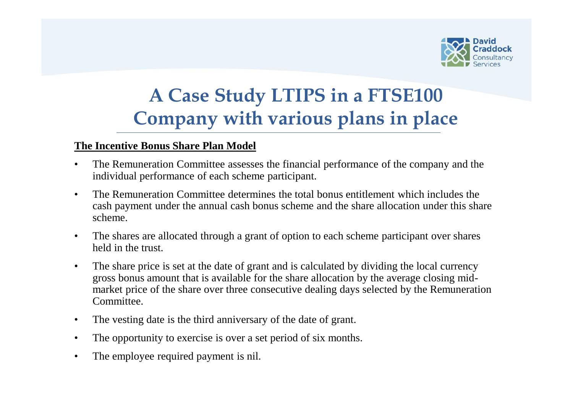

### **The Incentive Bonus Share Plan Model**

- The Remuneration Committee assesses the financial performance of the company and the individual performance of each scheme participant.
- The Remuneration Committee determines the total bonus entitlement which includes the cash payment under the annual cash bonus scheme and the share allocation under this share scheme.
- The shares are allocated through a grant of option to each scheme participant over shares held in the trust.
- The share price is set at the date of grant and is calculated by dividing the local currency gross bonus amount that is available for the share allocation by the average closing mid market price of the share over three consecutive dealing days selected by the Remuneration **Committee**
- The vesting date is the third anniversary of the date of grant.
- The opportunity to exercise is over a set period of six months.
- The employee required payment is nil.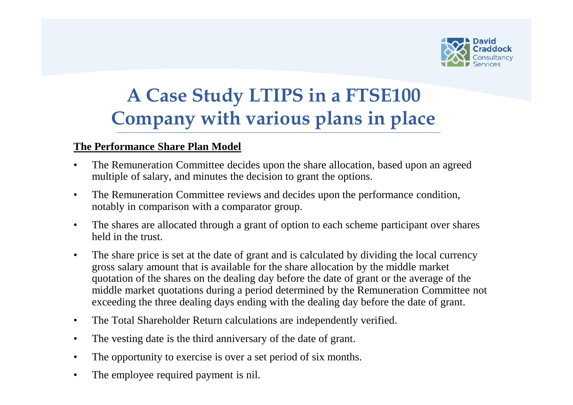

### **The Performance Share Plan Model**

- The Remuneration Committee decides upon the share allocation, based upon an agreed multiple of salary, and minutes the decision to grant the options.
- The Remuneration Committee reviews and decides upon the performance condition, notably in comparison with a comparator group.
- The shares are allocated through a grant of option to each scheme participant over shares held in the trust.
- The share price is set at the date of grant and is calculated by dividing the local currency gross salary amount that is available for the share allocation by the middle market quotation of the shares on the dealing day before the date of grant or the average of the middle market quotations during a period determined by the Remuneration Committee not exceeding the three dealing days ending with the dealing day before the date of grant.
- The Total Shareholder Return calculations are independently verified.
- The vesting date is the third anniversary of the date of grant.
- The opportunity to exercise is over a set period of six months.
- The employee required payment is nil.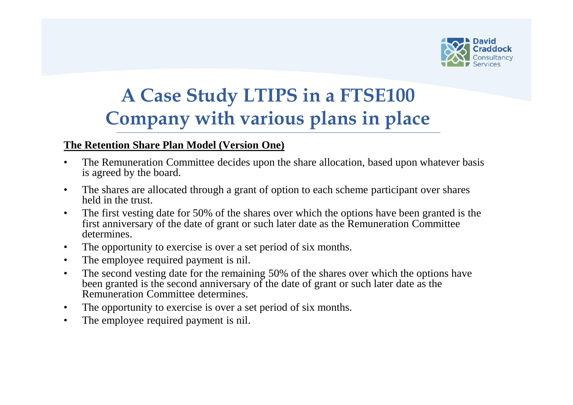

### **The Retention Share Plan Model (Version One)**

- The Remuneration Committee decides upon the share allocation, based upon whatever basis is agreed by the board.
- The shares are allocated through a grant of option to each scheme participant over shares held in the trust.
- The first vesting date for 50% of the shares over which the options have been granted is the first anniversary of the date of grant or such later date as the Remuneration Committee determines.
- The opportunity to exercise is over a set period of six months.
- The employee required payment is nil.
- The second vesting date for the remaining 50% of the shares over which the options have been granted is the second anniversary of the date of grant or such later date as the Remuneration Committee determines.
- The opportunity to exercise is over a set period of six months.
- The employee required payment is nil.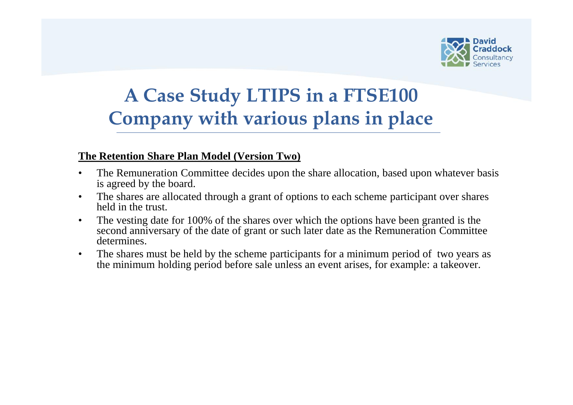

### **The Retention Share Plan Model (Version Two)**

- The Remuneration Committee decides upon the share allocation, based upon whatever basis is agreed by the board.
- The shares are allocated through a grant of options to each scheme participant over shares held in the trust.
- The vesting date for 100% of the shares over which the options have been granted is the second anniversary of the date of grant or such later date as the Remuneration Committee determines.
- The shares must be held by the scheme participants for a minimum period of two years as the minimum holding period before sale unless an event arises, for example: a takeover.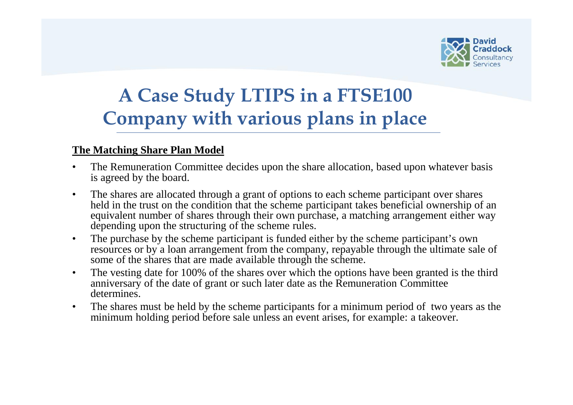

### **The Matching Share Plan Model**

- The Remuneration Committee decides upon the share allocation, based upon whatever basis is agreed by the board.
- The shares are allocated through a grant of options to each scheme participant over shares held in the trust on the condition that the scheme participant takes beneficial ownership of an equivalent number of shares through their own purchase, a matching arrangement either way depending upon the structuring of the scheme rules.
- The purchase by the scheme participant is funded either by the scheme participant's own resources or by a loan arrangement from the company, repayable through the ultimate sale of some of the shares that are made available through the scheme.
- The vesting date for 100% of the shares over which the options have been granted is the third anniversary of the date of grant or such later date as the Remuneration Committee determines.
- The shares must be held by the scheme participants for a minimum period of two years as the minimum holding period before sale unless an event arises, for example: a takeover.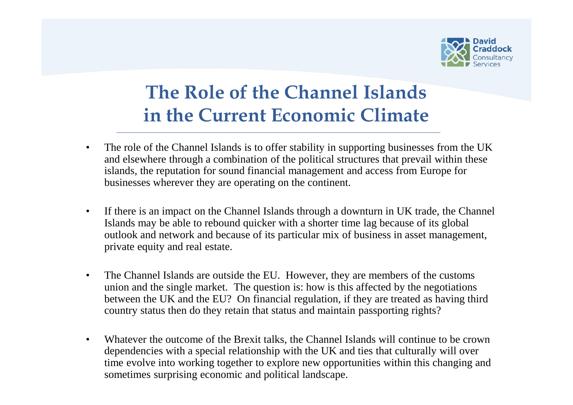

### **The Role of the Channel Islands in the Current Economic Climate**

- The role of the Channel Islands is to offer stability in supporting businesses from the UK and elsewhere through a combination of the political structures that prevail within these islands, the reputation for sound financial management and access from Europe for businesses wherever they are operating on the continent.
- If there is an impact on the Channel Islands through a downturn in UK trade, the Channel Islands may be able to rebound quicker with a shorter time lag because of its global outlook and network and because of its particular mix of business in asset management, private equity and real estate.
- The Channel Islands are outside the EU. However, they are members of the customs union and the single market. The question is: how is this affected by the negotiations between the UK and the EU? On financial regulation, if they are treated as having third country status then do they retain that status and maintain passporting rights?
- Whatever the outcome of the Brexit talks, the Channel Islands will continue to be crown dependencies with a special relationship with the UK and ties that culturally will over time evolve into working together to explore new opportunities within this changing and sometimes surprising economic and political landscape.